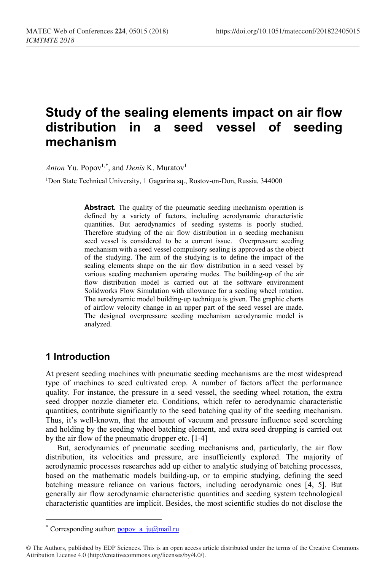# **Study of the sealing elements impact on air flow**  in a seed vessel of seeding **mechanism**

*Anton* Yu. Popov<sup>1,[\\*](#page-0-0)</sup>, and *Denis* K. Muratov<sup>1</sup>

<sup>1</sup>Don State Technical University, 1 Gagarina sq., Rostov-on-Don, Russia, 344000

**Abstract.** The quality of the pneumatic seeding mechanism operation is defined by a variety of factors, including aerodynamic characteristic quantities. But aerodynamics of seeding systems is poorly studied. Therefore studying of the air flow distribution in a seeding mechanism seed vessel is considered to be a current issue. Overpressure seeding mechanism with a seed vessel compulsory sealing is approved as the object of the studying. The aim of the studying is to define the impact of the sealing elements shape on the air flow distribution in a seed vessel by various seeding mechanism operating modes. The building-up of the air flow distribution model is carried out at the software environment Solidworks Flow Simulation with allowance for a seeding wheel rotation. The aerodynamic model building-up technique is given. The graphic charts of airflow velocity change in an upper part of the seed vessel are made. The designed overpressure seeding mechanism aerodynamic model is analyzed.

# **1 Introduction**

 $\overline{a}$ 

At present seeding machines with pneumatic seeding mechanisms are the most widespread type of machines to seed cultivated crop. A number of factors affect the performance quality. For instance, the pressure in a seed vessel, the seeding wheel rotation, the extra seed dropper nozzle diameter etc. Conditions, which refer to aerodynamic characteristic quantities, contribute significantly to the seed batching quality of the seeding mechanism. Thus, it's well-known, that the amount of vacuum and pressure influence seed scorching and holding by the seeding wheel batching element, and extra seed dropping is carried out by the air flow of the pneumatic dropper etc. [1-4]

But, aerodynamics of pneumatic seeding mechanisms and, particularly, the air flow distribution, its velocities and pressure, are insufficiently explored. The majority of aerodynamic processes researches add up either to analytic studying of batching processes, based on the mathematic models building-up, or to empiric studying, defining the seed batching measure reliance on various factors, including aerodynamic ones [4, 5]. But generally air flow aerodynamic characteristic quantities and seeding system technological characteristic quantities are implicit. Besides, the most scientific studies do not disclose the

<sup>\*</sup> Corresponding author:  $popov$  a  $ju@mail.ru$ 

<span id="page-0-0"></span><sup>©</sup> The Authors, published by EDP Sciences. This is an open access article distributed under the terms of the Creative Commons Attribution License 4.0 (http://creativecommons.org/licenses/by/4.0/).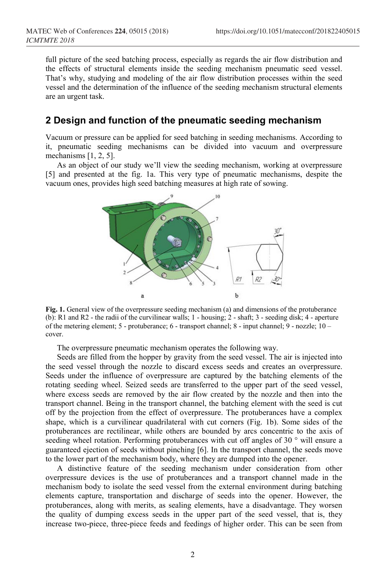full picture of the seed batching process, especially as regards the air flow distribution and the effects of structural elements inside the seeding mechanism pneumatic seed vessel. That's why, studying and modeling of the air flow distribution processes within the seed vessel and the determination of the influence of the seeding mechanism structural elements are an urgent task.

#### **2 Design and function of the pneumatic seeding mechanism**

Vacuum or pressure can be applied for seed batching in seeding mechanisms. According to it, pneumatic seeding mechanisms can be divided into vacuum and overpressure mechanisms [1, 2, 5].

As an object of our study we'll view the seeding mechanism, working at overpressure [5] and presented at the fig. 1a. This very type of pneumatic mechanisms, despite the vacuum ones, provides high seed batching measures at high rate of sowing.



**Fig. 1.** General view of the overpressure seeding mechanism (a) and dimensions of the protuberance (b): R1 and R2 - the radii of the curvilinear walls; 1 - housing; 2 - shaft; 3 - seeding disk; 4 - aperture of the metering element; 5 - protuberance; 6 - transport channel; 8 - input channel; 9 - nozzle; 10 – cover.

The overpressure pneumatic mechanism operates the following way.

Seeds are filled from the hopper by gravity from the seed vessel. The air is injected into the seed vessel through the nozzle to discard excess seeds and creates an overpressure. Seeds under the influence of overpressure are captured by the batching elements of the rotating seeding wheel. Seized seeds are transferred to the upper part of the seed vessel, where excess seeds are removed by the air flow created by the nozzle and then into the transport channel. Being in the transport channel, the batching element with the seed is cut off by the projection from the effect of overpressure. The protuberances have a complex shape, which is a curvilinear quadrilateral with cut corners (Fig. 1b). Some sides of the protuberances are rectilinear, while others are bounded by arcs concentric to the axis of seeding wheel rotation. Performing protuberances with cut off angles of 30 ° will ensure a guaranteed ejection of seeds without pinching [6]. In the transport channel, the seeds move to the lower part of the mechanism body, where they are dumped into the opener.

A distinctive feature of the seeding mechanism under consideration from other overpressure devices is the use of protuberances and a transport channel made in the mechanism body to isolate the seed vessel from the external environment during batching elements capture, transportation and discharge of seeds into the opener. However, the protuberances, along with merits, as sealing elements, have a disadvantage. They worsen the quality of dumping excess seeds in the upper part of the seed vessel, that is, they increase two-piece, three-piece feeds and feedings of higher order. This can be seen from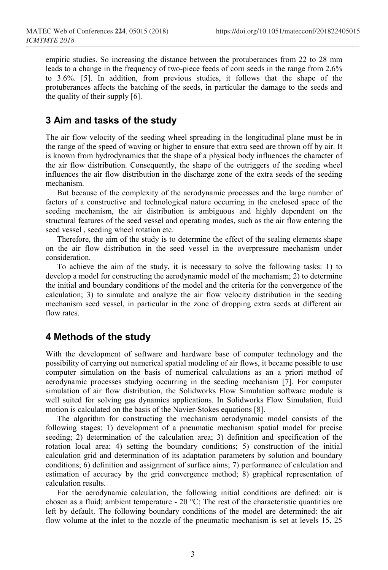empiric studies. So increasing the distance between the protuberances from 22 to 28 mm leads to a change in the frequency of two-piece feeds of corn seeds in the range from 2.6% to 3.6%. [5]. In addition, from previous studies, it follows that the shape of the protuberances affects the batching of the seeds, in particular the damage to the seeds and the quality of their supply [6].

## **3 Aim and tasks of the study**

The air flow velocity of the seeding wheel spreading in the longitudinal plane must be in the range of the speed of waving or higher to ensure that extra seed are thrown off by air. It is known from hydrodynamics that the shape of a physical body influences the character of the air flow distribution. Consequently, the shape of the outriggers of the seeding wheel influences the air flow distribution in the discharge zone of the extra seeds of the seeding mechanism.

But because of the complexity of the aerodynamic processes and the large number of factors of a constructive and technological nature occurring in the enclosed space of the seeding mechanism, the air distribution is ambiguous and highly dependent on the structural features of the seed vessel and operating modes, such as the air flow entering the seed vessel , seeding wheel rotation etc.

Therefore, the aim of the study is to determine the effect of the sealing elements shape on the air flow distribution in the seed vessel in the overpressure mechanism under consideration.

To achieve the aim of the study, it is necessary to solve the following tasks: 1) to develop a model for constructing the aerodynamic model of the mechanism; 2) to determine the initial and boundary conditions of the model and the criteria for the convergence of the calculation; 3) to simulate and analyze the air flow velocity distribution in the seeding mechanism seed vessel, in particular in the zone of dropping extra seeds at different air flow rates.

#### **4 Methods of the study**

With the development of software and hardware base of computer technology and the possibility of carrying out numerical spatial modeling of air flows, it became possible to use computer simulation on the basis of numerical calculations as an a priori method of aerodynamic processes studying occurring in the seeding mechanism [7]. For computer simulation of air flow distribution, the Solidworks Flow Simulation software module is well suited for solving gas dynamics applications. In Solidworks Flow Simulation, fluid motion is calculated on the basis of the Navier-Stokes equations [8].

The algorithm for constructing the mechanism aerodynamic model consists of the following stages: 1) development of a pneumatic mechanism spatial model for precise seeding; 2) determination of the calculation area; 3) definition and specification of the rotation local area; 4) setting the boundary conditions; 5) construction of the initial calculation grid and determination of its adaptation parameters by solution and boundary conditions; 6) definition and assignment of surface aims; 7) performance of calculation and estimation of accuracy by the grid convergence method; 8) graphical representation of calculation results.

For the aerodynamic calculation, the following initial conditions are defined: air is chosen as a fluid; ambient temperature - 20  $^{\circ}$ C; The rest of the characteristic quantities are left by default. The following boundary conditions of the model are determined: the air flow volume at the inlet to the nozzle of the pneumatic mechanism is set at levels 15, 25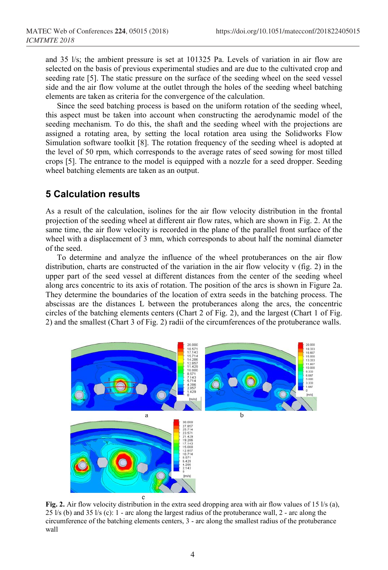and 35 l/s; the ambient pressure is set at 101325 Pa. Levels of variation in air flow are selected on the basis of previous experimental studies and are due to the cultivated crop and seeding rate [5]. The static pressure on the surface of the seeding wheel on the seed vessel side and the air flow volume at the outlet through the holes of the seeding wheel batching elements are taken as criteria for the convergence of the calculation.

Since the seed batching process is based on the uniform rotation of the seeding wheel, this aspect must be taken into account when constructing the aerodynamic model of the seeding mechanism. To do this, the shaft and the seeding wheel with the projections are assigned a rotating area, by setting the local rotation area using the Solidworks Flow Simulation software toolkit [8]. The rotation frequency of the seeding wheel is adopted at the level of 50 rpm, which corresponds to the average rates of seed sowing for most tilled crops [5]. The entrance to the model is equipped with a nozzle for a seed dropper. Seeding wheel batching elements are taken as an output.

## **5 Calculation results**

As a result of the calculation, isolines for the air flow velocity distribution in the frontal projection of the seeding wheel at different air flow rates, which are shown in Fig. 2. At the same time, the air flow velocity is recorded in the plane of the parallel front surface of the wheel with a displacement of 3 mm, which corresponds to about half the nominal diameter of the seed.

To determine and analyze the influence of the wheel protuberances on the air flow distribution, charts are constructed of the variation in the air flow velocity v (fig. 2) in the upper part of the seed vessel at different distances from the center of the seeding wheel along arcs concentric to its axis of rotation. The position of the arcs is shown in Figure 2a. They determine the boundaries of the location of extra seeds in the batching process. The abscissas are the distances L between the protuberances along the arcs, the concentric circles of the batching elements centers (Chart 2 of Fig. 2), and the largest (Chart 1 of Fig. 2) and the smallest (Chart 3 of Fig. 2) radii of the circumferences of the protuberance walls.



**Fig. 2.** Air flow velocity distribution in the extra seed dropping area with air flow values of 15 l/s (a), 25 l/s (b) and 35 l/s (c): 1 - arc along the largest radius of the protuberance wall, 2 - arc along the circumference of the batching elements centers, 3 - arc along the smallest radius of the protuberance wall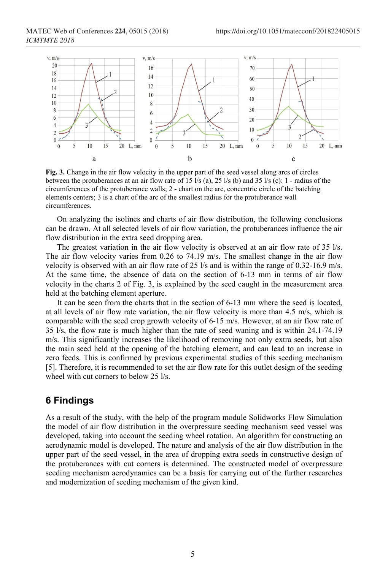*ICMTMTE 2018*



**Fig. 3.** Change in the air flow velocity in the upper part of the seed vessel along arcs of circles between the protuberances at an air flow rate of 15  $\frac{1}{s}$  (a), 25  $\frac{1}{s}$  (b) and 35  $\frac{1}{s}$  (c): 1 - radius of the circumferences of the protuberance walls; 2 - chart on the arc, concentric circle of the batching elements centers; 3 is a chart of the arc of the smallest radius for the protuberance wall circumferences.

On analyzing the isolines and charts of air flow distribution, the following conclusions can be drawn. At all selected levels of air flow variation, the protuberances influence the air flow distribution in the extra seed dropping area.

The greatest variation in the air flow velocity is observed at an air flow rate of 35 l/s. The air flow velocity varies from 0.26 to 74.19 m/s. The smallest change in the air flow velocity is observed with an air flow rate of 25  $\frac{1}{s}$  and is within the range of 0.32-16.9 m/s. At the same time, the absence of data on the section of 6-13 mm in terms of air flow velocity in the charts 2 of Fig. 3, is explained by the seed caught in the measurement area held at the batching element aperture.

It can be seen from the charts that in the section of 6-13 mm where the seed is located, at all levels of air flow rate variation, the air flow velocity is more than 4.5 m/s, which is comparable with the seed crop growth velocity of 6-15 m/s. However, at an air flow rate of 35 l/s, the flow rate is much higher than the rate of seed waning and is within 24.1-74.19 m/s. This significantly increases the likelihood of removing not only extra seeds, but also the main seed held at the opening of the batching element, and can lead to an increase in zero feeds. This is confirmed by previous experimental studies of this seeding mechanism [5]. Therefore, it is recommended to set the air flow rate for this outlet design of the seeding wheel with cut corners to below 25 l/s.

# **6 Findings**

As a result of the study, with the help of the program module Solidworks Flow Simulation the model of air flow distribution in the overpressure seeding mechanism seed vessel was developed, taking into account the seeding wheel rotation. An algorithm for constructing an aerodynamic model is developed. The nature and analysis of the air flow distribution in the upper part of the seed vessel, in the area of dropping extra seeds in constructive design of the protuberances with cut corners is determined. The constructed model of overpressure seeding mechanism aerodynamics can be a basis for carrying out of the further researches and modernization of seeding mechanism of the given kind.